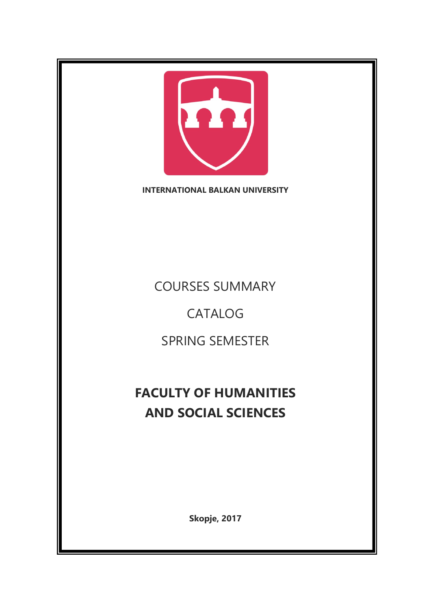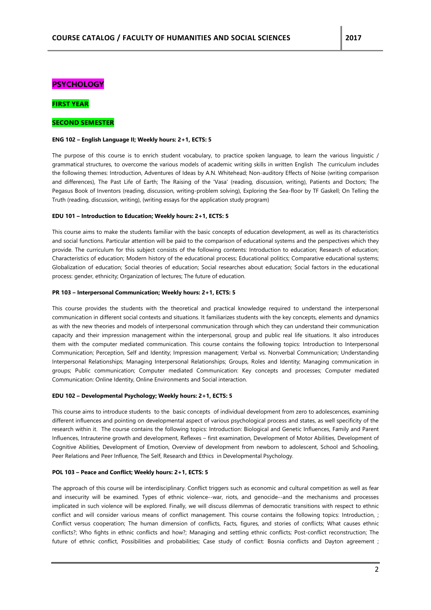# **PSYCHOLOGY**

# **FIRST YEAR**

# **SECOND SEMESTER**

#### **ENG 102 – English Language II; Weekly hours: 2+1, ECTS: 5**

The purpose of this course is to enrich student vocabulary, to practice spoken language, to learn the various linguistic / grammatical structures, to overcome the various models of academic writing skills in written English The curriculum includes the following themes: Introduction, Adventures of Ideas by A.N. Whitehead; Non-auditory Effects of Noise (writing comparison and differences), The Past Life of Earth; The Raising of the 'Vasa' (reading, discussion, writing), Patients and Doctors; The Pegasus Book of Inventors (reading, discussion, writing-problem solving), Exploring the Sea-floor by TF Gaskell; On Telling the Truth (reading, discussion, writing), (writing essays for the application study program)

#### **EDU 101 – Introduction to Education; Weekly hours: 2+1, ECTS: 5**

This course aims to make the students familiar with the basic concepts of education development, as well as its characteristics and social functions. Particular attention will be paid to the comparison of educational systems and the perspectives which they provide. The curriculum for this subject consists of the following contents: Introduction to education; Research of education; Characteristics of education; Modern history of the educational process; Educational politics; Comparative educational systems; Globalization of education; Social theories of education; Social researches about education; Social factors in the educational process: gender, ethnicity; Organization of lectures; The future of education.

#### **PR 103 – Interpersonal Communication; Weekly hours: 2+1, ECTS: 5**

This course provides the students with the theoretical and practical knowledge required to understand the interpersonal communication in different social contexts and situations. It familiarizes students with the key concepts, elements and dynamics as with the new theories and models of interpersonal communication through which they can understand their communication capacity and their impression management within the interpersonal, group and public real life situations. It also introduces them with the computer mediated communication. This course contains the following topics: Introduction to Interpersonal Communication; Perception, Self and Identity; Impression management; Verbal vs. Nonverbal Communication; Understanding Interpersonal Relationships; Managing Interpersonal Relationships; Groups, Roles and Identity; Managing communication in groups; Public communication; Computer mediated Communication: Key concepts and processes; Computer mediated Communication: Online Identity, Online Environments and Social interaction.

#### **EDU 102 – Developmental Psychology; Weekly hours: 2+1, ECTS: 5**

This course aims to introduce students to the basic concepts of individual development from zero to adolescences, examining different influences and pointing on developmental aspect of various psychological process and states, as well specificity of the research within it. The course contains the following topics: Introduction: Biological and Genetic Influences, Family and Parent Influences, Intrauterine growth and development, Reflexes – first examination, Development of Motor Abilities, Development of Cognitive Abilities, Development of Emotion, Overview of development from newborn to adolescent, School and Schooling, Peer Relations and Peer Influence, The Self, Research and Ethics in Developmental Psychology.

### **POL 103 – Peace and Conflict; Weekly hours: 2+1, ECTS: 5**

The approach of this course will be interdisciplinary. Conflict triggers such as economic and cultural competition as well as fear and insecurity will be examined. Types of ethnic violence--war, riots, and genocide--and the mechanisms and processes implicated in such violence will be explored. Finally, we will discuss dilemmas of democratic transitions with respect to ethnic conflict and will consider various means of conflict management. This course contains the following topics: Introduction, ; Conflict versus cooperation; The human dimension of conflicts, Facts, figures, and stories of conflicts; What causes ethnic conflicts?; Who fights in ethnic conflicts and how?; Managing and settling ethnic conflicts; Post-conflict reconstruction; The future of ethnic conflict, Possibilities and probabilities; Case study of conflict: Bosnia conflicts and Dayton agreement ;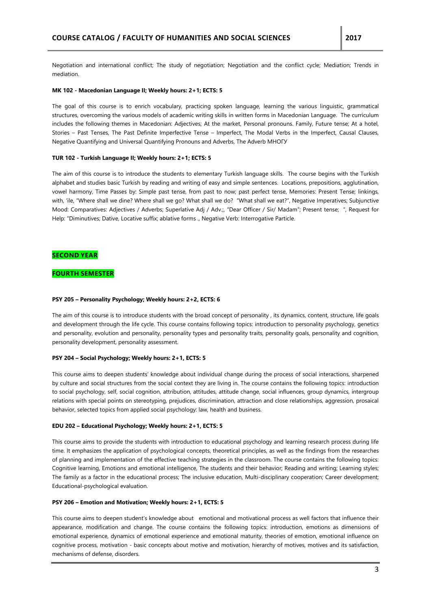Negotiation and international conflict; The study of negotiation; Negotiation and the conflict cycle; Mediation; Trends in mediation.

### **MK 102 - Macedonian Language II; Weekly hours: 2+1; ECTS: 5**

The goal of this course is to enrich vocabulary, practicing spoken language, learning the various linguistic, grammatical structures, overcoming the various models of academic writing skills in written forms in Macedonian Language. The curriculum includes the following themes in Macedonian: Adjectives; At the market, Personal pronouns. Family, Future tense; At a hotel, Stories – Past Tenses, The Past Definite Imperfective Tense – Imperfect, The Modal Verbs in the Imperfect, Causal Clauses, Negative Quantifying and Universal Quantifying Pronouns and Adverbs, The Adverb МНОГУ

#### **TUR 102 - Turkish Language II; Weekly hours: 2+1; ECTS: 5**

The aim of this course is to introduce the students to elementary Turkish language skills. The course begins with the Turkish alphabet and studies basic Turkish by reading and writing of easy and simple sentences. Locations, prepositions, agglutination, vowel harmony, Time Passes by: Simple past tense, from past to now; past perfect tense, Memories: Present Tense; linkings, with, 'ile, "Where shall we dine? Where shall we go? What shall we do? "What shall we eat?", Negative Imperatives; Subjunctive Mood: Comparatives: Adjectives / Adverbs; Superlative Adj / Adv.;, "Dear Officer / Sir/ Madam"; Present tense; ", Request for Help: "Diminutives; Dative, Locative suffix; ablative forms ., Negative Verb: Interrogative Particle.

## **SECOND YEAR**

## **FOURTH SEMESTER**

#### **PSY 205 – Personality Psychology; Weekly hours: 2+2, ECTS: 6**

The aim of this course is to introduce students with the broad concept of personality, its dynamics, content, structure, life goals and development through the life cycle. This course contains following topics: introduction to personality psychology, genetics and personality, evolution and personality, personality types and personality traits, personality goals, personality and cognition, personality development, personality assessment.

#### **PSY 204 – Social Psychology; Weekly hours: 2+1, ECTS: 5**

This course aims to deepen students' knowledge about individual change during the process of social interactions, sharpened by culture and social structures from the social context they are living in. The course contains the following topics: introduction to social psychology, self, social cognition, attribution, attitudes, attitude change, social influences, group dynamics, intergroup relations with special points on stereotyping, prejudices, discrimination, attraction and close relationships, aggression, prosaical behavior, selected topics from applied social psychology: law, health and business.

#### **EDU 202 – Educational Psychology; Weekly hours: 2+1, ECTS: 5**

This course aims to provide the students with introduction to educational psychology and learning research process during life time. It emphasizes the application of psychological concepts, theoretical principles, as well as the findings from the researches of planning and implementation of the effective teaching strategies in the classroom. The course contains the following topics: Cognitive learning, Emotions and emotional intelligence, The students and their behavior; Reading and writing; Learning styles; The family as a factor in the educational process; The inclusive education, Multi-disciplinary cooperation; Career development; Educational-psychological evaluation.

### **PSY 206 – Emotion and Motivation; Weekly hours: 2+1, ECTS: 5**

This course aims to deepen student's knowledge about emotional and motivational process as well factors that influence their appearance, modification and change. The course contains the following topics: introduction, emotions as dimensions of emotional experience, dynamics of emotional experience and emotional maturity, theories of emotion, emotional influence on cognitive process, motivation - basic concepts about motive and motivation, hierarchy of motives, motives and its satisfaction, mechanisms of defense, disorders.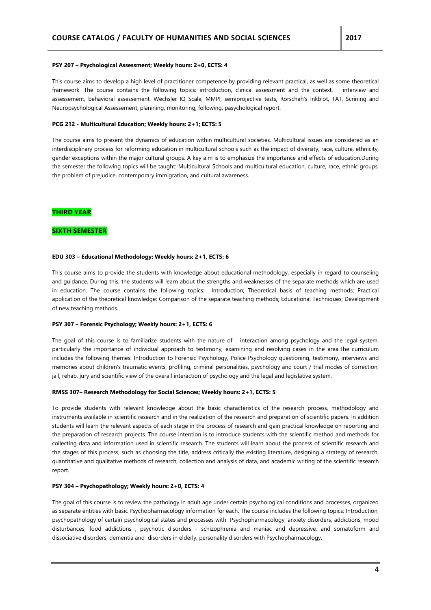#### **PSY 207 – Psychological Assessment; Weekly hours: 2+0, ECTS: 4**

This course aims to develop a high level of practitioner competence by providing relevant practical, as well as some theoretical framework. The course contains the following topics: introduction, clinical assessment and the context, interview and assessement, behavioral assessement, Wechsler IQ Scale, MMPI, semiprojective tests, Rorschah's Inkblot, TAT, Scrining and Neuropsychological Assessement, planining, monitoring, following, pasychological report.

### **PCG 212 - Multicultural Education; Weekly hours: 2+1; ECTS: 5**

The course aims to present the dynamics of education within multicultural societies. Multicultural issues are considered as an interdisciplinary process for reforming education in multicultural schools such as the impact of diversity, race, culture, ethnicity, gender exceptions within the major cultural groups. A key aim is to emphasize the importance and effects of education.During the semester the following topics will be taught: Multicultural Schools and multicultural education, culture, race, ethnic groups, the problem of prejudice, contemporary immigration, and cultural awareness.

# **THIRD YEAR**

# **SIXTH SEMESTER**

### **EDU 303 – Educational Methodology; Weekly hours: 2+1, ECTS: 6**

This course aims to provide the students with knowledge about educational methodology, especially in regard to counseling and guidance. During this, the students will learn about the strengths and weaknesses of the separate methods which are used in education. The course contains the following topics: Introduction; Theoretical basis of teaching methods; Practical application of the theoretical knowledge; Comparison of the separate teaching methods; Educational Techniques; Development of new teaching methods.

#### **PSY 307 – Forensic Psychology; Weekly hours: 2+1, ECTS: 6**

The goal of this course is to familiarize students with the nature of interaction among psychology and the legal system, particularly the importance of individual approach to testimony, examining and resolving cases in the area.The curriculum includes the following themes: Introduction to Forensic Psychology, Police Psychology questioning, testimony, interviews and memories about children's traumatic events, profiling, criminal personalities, psychology and court / trial modes of correction, jail, rehab, jury and scientific view of the overall interaction of psychology and the legal and legislative system.

## **RMSS 307– Research Methodology for Social Sciences; Weekly hours: 2+1, ECTS: 5**

To provide students with relevant knowledge about the basic characteristics of the research process, methodology and instruments available in scientific research and in the realization of the research and preparation of scientific papers. In addition students will learn the relevant aspects of each stage in the process of research and gain practical knowledge on reporting and the preparation of research projects. The course intention is to introduce students with the scientific method and methods for collecting data and information used in scientific research. The students will learn about the process of scientific research and the stages of this process, such as choosing the title, address critically the existing literature, designing a strategy of research, quantitative and qualitative methods of research, collection and analysis of data, and academic writing of the scientific research report.

## **PSY 304 – Psychopathology; Weekly hours: 2+0, ECTS: 4**

The goal of this course is to review the pathology in adult age under certain psychological conditions and processes, organized as separate entities with basic Psychopharmacology information for each. The course includes the following topics: Introduction, psychopathology of certain psychological states and processes with Psychopharmacology, anxiety disorders, addictions, mood disturbances, food addictions , psychotic disorders - schizophrenia and maniac and depressive, and somatoform and dissociative disorders, dementia and disorders in elderly, personality disorders with Psychopharmacology.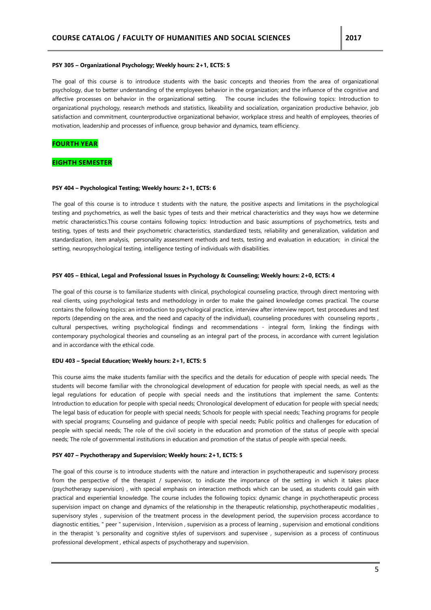#### **PSY 305 – Organizational Psychology; Weekly hours: 2+1, ECTS: 5**

The goal of this course is to introduce students with the basic concepts and theories from the area of organizational psychology, due to better understanding of the employees behavior in the organization; and the influence of the cognitive and affective processes on behavior in the organizational setting. The course includes the following topics: Introduction to organizational psychology, research methods and statistics, likeability and socialization, organization productive behavior, job satisfaction and commitment, counterproductive organizational behavior, workplace stress and health of employees, theories of motivation, leadership and processes of influence, group behavior and dynamics, team efficiency.

### **FOURTH YEAR**

## **EIGHTH SEMESTER**

# **PSY 404 – Psychological Testing; Weekly hours: 2+1, ECTS: 6**

The goal of this course is to introduce t students with the nature, the positive aspects and limitations in the psychological testing and psychometrics, as well the basic types of tests and their metrical characteristics and they ways how we determine metric characteristics.This course contains following topics: Introduction and basic assumptions of psychometrics, tests and testing, types of tests and their psychometric characteristics, standardized tests, reliability and generalization, validation and standardization, item analysis, personality assessment methods and tests, testing and evaluation in education; in clinical the setting, neuropsychological testing, intelligence testing of individuals with disabilities.

#### **PSY 405 – Ethical, Legal and Professional Issues in Psychology & Counseling; Weekly hours: 2+0, ECTS: 4**

The goal of this course is to familiarize students with clinical, psychological counseling practice, through direct mentoring with real clients, using psychological tests and methodology in order to make the gained knowledge comes practical. The course contains the following topics: an introduction to psychological practice, interview after interview report, test procedures and test reports (depending on the area, and the need and capacity of the individual), counseling procedures with counseling reports , cultural perspectives, writing psychological findings and recommendations - integral form, linking the findings with contemporary psychological theories and counseling as an integral part of the process, in accordance with current legislation and in accordance with the ethical code.

#### **EDU 403 – Special Education; Weekly hours: 2+1, ECTS: 5**

This course aims the make students familiar with the specifics and the details for education of people with special needs. The students will become familiar with the chronological development of education for people with special needs, as well as the legal regulations for education of people with special needs and the institutions that implement the same. Contents: Introduction to education for people with special needs; Chronological development of education for people with special needs; The legal basis of education for people with special needs; Schools for people with special needs; Teaching programs for people with special programs; Counseling and guidance of people with special needs; Public politics and challenges for education of people with special needs; The role of the civil society in the education and promotion of the status of people with special needs; The role of governmental institutions in education and promotion of the status of people with special needs.

### **PSY 407 – Psychotherapy and Supervision; Weekly hours: 2+1, ECTS: 5**

The goal of this course is to introduce students with the nature and interaction in psychotherapeutic and supervisory process from the perspective of the therapist / supervisor, to indicate the importance of the setting in which it takes place (psychotherapy supervision) , with special emphasis on interaction methods which can be used, as students could gain with practical and experiential knowledge. The course includes the following topics: dynamic change in psychotherapeutic process supervision impact on change and dynamics of the relationship in the therapeutic relationship, psychotherapeutic modalities, supervisory styles , supervision of the treatment process in the development period, the supervision process accordance to diagnostic entities, " peer " supervision , Intervision , supervision as a process of learning , supervision and emotional conditions in the therapist 's personality and cognitive styles of supervisors and supervisee , supervision as a process of continuous professional development , ethical aspects of psychotherapy and supervision.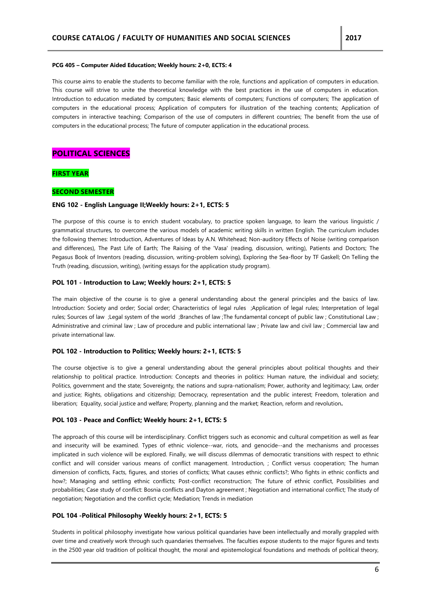#### **PCG 405 – Computer Aided Education; Weekly hours: 2+0, ECTS: 4**

This course aims to enable the students to become familiar with the role, functions and application of computers in education. This course will strive to unite the theoretical knowledge with the best practices in the use of computers in education. Introduction to education mediated by computers; Basic elements of computers; Functions of computers; The application of computers in the educational process; Application of computers for illustration of the teaching contents; Application of computers in interactive teaching; Comparison of the use of computers in different countries; The benefit from the use of computers in the educational process; The future of computer application in the educational process.

# **POLITICAL SCIENCES**

## **FIRST YEAR**

## **SECOND SEMESTER**

### **ENG 102 - English Language II;Weekly hours: 2+1, ECTS: 5**

The purpose of this course is to enrich student vocabulary, to practice spoken language, to learn the various linguistic / grammatical structures, to overcome the various models of academic writing skills in written English. The curriculum includes the following themes: Introduction, Adventures of Ideas by A.N. Whitehead; Non-auditory Effects of Noise (writing comparison and differences), The Past Life of Earth; The Raising of the 'Vasa' (reading, discussion, writing), Patients and Doctors; The Pegasus Book of Inventors (reading, discussion, writing-problem solving), Exploring the Sea-floor by TF Gaskell; On Telling the Truth (reading, discussion, writing), (writing essays for the application study program).

### **POL 101 - Introduction to Law; Weekly hours: 2+1, ECTS: 5**

The main objective of the course is to give a general understanding about the general principles and the basics of law. Introduction: Society and order; Social order; Characteristics of legal rules ;Application of legal rules; Interpretation of legal rules; Sources of law ;Legal system of the world ;Branches of law ;The fundamental concept of public law ; Constitutional Law ; Administrative and criminal law ; Law of procedure and public international law ; Private law and civil law ; Commercial law and private international law.

### **POL 102 - Introduction to Politics; Weekly hours: 2+1, ECTS: 5**

The course objective is to give a general understanding about the general principles about political thoughts and their relationship to political practice. Introduction: Concepts and theories in politics: Human nature, the individual and society; Politics, government and the state; Sovereignty, the nations and supra-nationalism; Power, authority and legitimacy; Law, order and justice; Rights, obligations and citizenship; Democracy, representation and the public interest; Freedom, toleration and liberation; Equality, social justice and welfare; Property, planning and the market; Reaction, reform and revolution**.**

### **POL 103 - Peace and Conflict; Weekly hours: 2+1, ECTS: 5**

The approach of this course will be interdisciplinary. Conflict triggers such as economic and cultural competition as well as fear and insecurity will be examined. Types of ethnic violence--war, riots, and genocide--and the mechanisms and processes implicated in such violence will be explored. Finally, we will discuss dilemmas of democratic transitions with respect to ethnic conflict and will consider various means of conflict management. Introduction, ; Conflict versus cooperation; The human dimension of conflicts, Facts, figures, and stories of conflicts; What causes ethnic conflicts?; Who fights in ethnic conflicts and how?; Managing and settling ethnic conflicts; Post-conflict reconstruction; The future of ethnic conflict, Possibilities and probabilities; Case study of conflict: Bosnia conflicts and Dayton agreement ; Negotiation and international conflict; The study of negotiation; Negotiation and the conflict cycle; Mediation; Trends in mediation

### **POL 104 -Political Philosophy Weekly hours: 2+1, ECTS: 5**

Students in political philosophy investigate how various political quandaries have been intellectually and morally grappled with over time and creatively work through such quandaries themselves. The faculties expose students to the major figures and texts in the 2500 year old tradition of political thought, the moral and epistemological foundations and methods of political theory,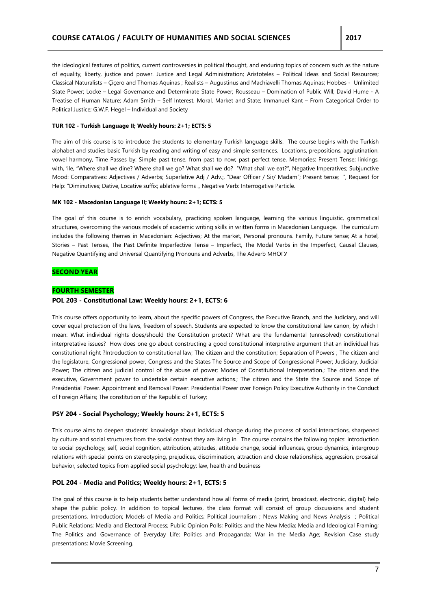the ideological features of politics, current controversies in political thought, and enduring topics of concern such as the nature of equality, liberty, justice and power. Justice and Legal Administration; Aristoteles – Political Ideas and Social Resources; Classical Naturalists – Çiçero and Thomas Aquinas ; Realists – Augustinus and Machiavelli Thomas Aquinas; Hobbes - Unlimited State Power; Locke – Legal Governance and Determinate State Power; Rousseau – Domination of Public Will; David Hume - A Treatise of Human Nature; Adam Smith – Self Interest, Moral, Market and State; Immanuel Kant – From Categorical Order to Political Justice; G.W.F. Hegel – Individual and Society

### **TUR 102 - Turkish Language II; Weekly hours: 2+1; ECTS: 5**

The aim of this course is to introduce the students to elementary Turkish language skills. The course begins with the Turkish alphabet and studies basic Turkish by reading and writing of easy and simple sentences. Locations, prepositions, agglutination, vowel harmony, Time Passes by: Simple past tense, from past to now; past perfect tense, Memories: Present Tense; linkings, with, 'ile, "Where shall we dine? Where shall we go? What shall we do? "What shall we eat?", Negative Imperatives; Subjunctive Mood: Comparatives: Adjectives / Adverbs; Superlative Adj / Adv.;, "Dear Officer / Sir/ Madam"; Present tense; ", Request for Help: "Diminutives; Dative, Locative suffix; ablative forms ., Negative Verb: Interrogative Particle.

### **MK 102 - Macedonian Language II; Weekly hours: 2+1; ECTS: 5**

The goal of this course is to enrich vocabulary, practicing spoken language, learning the various linguistic, grammatical structures, overcoming the various models of academic writing skills in written forms in Macedonian Language. The curriculum includes the following themes in Macedonian: Adjectives; At the market, Personal pronouns. Family, Future tense; At a hotel, Stories – Past Tenses, The Past Definite Imperfective Tense – Imperfect, The Modal Verbs in the Imperfect, Causal Clauses, Negative Quantifying and Universal Quantifying Pronouns and Adverbs, The Adverb МНОГУ

## **SECOND YEAR**

## **FOURTH SEMESTER**

### **POL 203 - Constitutional Law: Weekly hours: 2+1, ECTS: 6**

This course offers opportunity to learn, about the specific powers of Congress, the Executive Branch, and the Judiciary, and will cover equal protection of the laws, freedom of speech. Students are expected to know the constitutional law canon, by which I mean: What individual rights does/should the Constitution protect? What are the fundamental (unresolved) constitutional interpretative issues? How does one go about constructing a good constitutional interpretive argument that an individual has constitutional right ?Introduction to constitutional law; The citizen and the constitution; Separation of Powers ; The citizen and the legislature, Congressional power, Congress and the States The Source and Scope of Congressional Power; Judiciary, Judicial Power; The citizen and judicial control of the abuse of power; Modes of Constitutional Interpretation.; The citizen and the executive, Government power to undertake certain executive actions.; The citizen and the State the Source and Scope of Presidential Power. Appointment and Removal Power. Presidential Power over Foreign Policy Executive Authority in the Conduct of Foreign Affairs; The constitution of the Republic of Turkey;

## **PSY 204 - Social Psychology; Weekly hours: 2+1, ECTS: 5**

This course aims to deepen students' knowledge about individual change during the process of social interactions, sharpened by culture and social structures from the social context they are living in. The course contains the following topics: introduction to social psychology, self, social cognition, attribution, attitudes, attitude change, social influences, group dynamics, intergroup relations with special points on stereotyping, prejudices, discrimination, attraction and close relationships, aggression, prosaical behavior, selected topics from applied social psychology: law, health and business

## **POL 204 - Media and Politics; Weekly hours: 2+1, ECTS: 5**

The goal of this course is to help students better understand how all forms of media (print, broadcast, electronic, digital) help shape the public policy. In addition to topical lectures, the class format will consist of group discussions and student presentations. Introduction; Models of Media and Politics; Political Journalism ; News Making and News Analysis ; Political Public Relations; Media and Electoral Process; Public Opinion Polls; Politics and the New Media; Media and Ideological Framing; The Politics and Governance of Everyday Life; Politics and Propaganda; War in the Media Age; Revision Case study presentations; Movie Screening.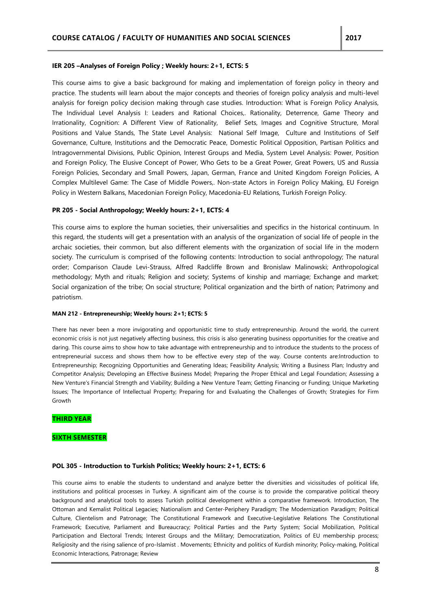## **IER 205 –Analyses of Foreign Policy ; Weekly hours: 2+1, ECTS: 5**

This course aims to give a basic background for making and implementation of foreign policy in theory and practice. The students will learn about the major concepts and theories of foreign policy analysis and multi-level analysis for foreign policy decision making through case studies. Introduction: What is Foreign Policy Analysis, The Individual Level Analysis I: Leaders and Rational Choices,. Rationality, Deterrence, Game Theory and Irrationality, Cognition: A Different View of Rationality, Belief Sets, Images and Cognitive Structure, Moral Positions and Value Stands, The State Level Analysis: National Self Image, Culture and Institutions of Self Governance, Culture, Institutions and the Democratic Peace, Domestic Political Opposition, Partisan Politics and Intragovernmental Divisions, Public Opinion, Interest Groups and Media, System Level Analysis: Power, Position and Foreign Policy, The Elusive Concept of Power, Who Gets to be a Great Power, Great Powers, US and Russia Foreign Policies, Secondary and Small Powers, Japan, German, France and United Kingdom Foreign Policies, A Complex Multilevel Game: The Case of Middle Powers,. Non-state Actors in Foreign Policy Making, EU Foreign Policy in Western Balkans, Macedonian Foreign Policy, Macedonia-EU Relations, Turkish Foreign Policy.

# **PR 205 - Social Anthropology; Weekly hours: 2+1, ECTS: 4**

This course aims to explore the human societies, their universalities and specifics in the historical continuum. In this regard, the students will get a presentation with an analysis of the organization of social life of people in the archaic societies, their common, but also different elements with the organization of social life in the modern society. The curriculum is comprised of the following contents: Introduction to social anthropology; The natural order; Comparison Claude Levi-Strauss, Alfred Radcliffe Brown and Bronislaw Malinowski; Anthropological methodology; Myth and rituals; Religion and society; Systems of kinship and marriage; Exchange and market; Social organization of the tribe; On social structure; Political organization and the birth of nation; Patrimony and patriotism.

### **MAN 212 - Entrepreneurship; Weekly hours: 2+1; ECTS: 5**

There has never been a more invigorating and opportunistic time to study entrepreneurship. Around the world, the current economic crisis is not just negatively affecting business, this crisis is also generating business opportunities for the creative and daring. This course aims to show how to take advantage with entrepreneurship and to introduce the students to the process of entrepreneurial success and shows them how to be effective every step of the way. Course contents are:Introduction to Entrepreneurship; Recognizing Opportunities and Generating Ideas; Feasibility Analysis; Writing a Business Plan; Industry and Competitor Analysis; Developing an Effective Business Model; Preparing the Proper Ethical and Legal Foundation; Assessing a New Venture's Financial Strength and Viability; Building a New Venture Team; Getting Financing or Funding; Unique Marketing Issues; The Importance of Intellectual Property; Preparing for and Evaluating the Challenges of Growth; Strategies for Firm Growth

## **THIRD YEAR**

## **SIXTH SEMESTER**

### **POL 305 - Introduction to Turkish Politics; Weekly hours: 2+1, ECTS: 6**

This course aims to enable the students to understand and analyze better the diversities and vicissitudes of political life, institutions and political processes in Turkey. A significant aim of the course is to provide the comparative political theory background and analytical tools to assess Turkish political development within a comparative framework. Introduction, The Ottoman and Kemalist Political Legacies; Nationalism and Center-Periphery Paradigm; The Modernization Paradigm; Political Culture, Clientelism and Patronage; The Constitutional Framework and Executive-Legislative Relations The Constitutional Framework; Executive, Parliament and Bureaucracy; Political Parties and the Party System; Social Mobilization, Political Participation and Electoral Trends; Interest Groups and the Military; Democratization, Politics of EU membership process; Religiosity and the rising salience of pro-Islamist . Movements; Ethnicity and politics of Kurdish minority; Policy-making, Political Economic Interactions, Patronage; Review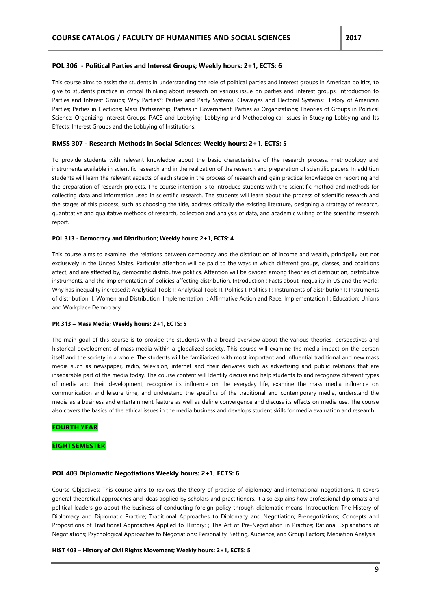## **POL 306 - Political Parties and Interest Groups; Weekly hours: 2+1, ECTS: 6**

This course aims to assist the students in understanding the role of political parties and interest groups in American politics, to give to students practice in critical thinking about research on various issue on parties and interest groups. Introduction to Parties and Interest Groups; Why Parties?; Parties and Party Systems; Cleavages and Electoral Systems; History of American Parties; Parties in Elections; Mass Partisanship; Parties in Government; Parties as Organizations; Theories of Groups in Political Science; Organizing Interest Groups; PACS and Lobbying; Lobbying and Methodological Issues in Studying Lobbying and Its Effects; Interest Groups and the Lobbying of Institutions.

### **RMSS 307 - Research Methods in Social Sciences; Weekly hours: 2+1, ECTS: 5**

To provide students with relevant knowledge about the basic characteristics of the research process, methodology and instruments available in scientific research and in the realization of the research and preparation of scientific papers. In addition students will learn the relevant aspects of each stage in the process of research and gain practical knowledge on reporting and the preparation of research projects. The course intention is to introduce students with the scientific method and methods for collecting data and information used in scientific research. The students will learn about the process of scientific research and the stages of this process, such as choosing the title, address critically the existing literature, designing a strategy of research, quantitative and qualitative methods of research, collection and analysis of data, and academic writing of the scientific research report.

#### **POL 313 - Democracy and Distribution; Weekly hours: 2+1, ECTS: 4**

This course aims to examine the relations between democracy and the distribution of income and wealth, principally but not exclusively in the United States. Particular attention will be paid to the ways in which different groups, classes, and coalitions affect, and are affected by, democratic distributive politics. Attention will be divided among theories of distribution, distributive instruments, and the implementation of policies affecting distribution. Introduction ; Facts about inequality in US and the world; Why has inequality increased?; Analytical Tools I; Analytical Tools II; Politics I; Politics II; Instruments of distribution I; Instruments of distribution II; Women and Distribution; Implementation I: Affirmative Action and Race; Implementation II: Education; Unions and Workplace Democracy.

#### **PR 313 – Mass Media; Weekly hours: 2+1, ECTS: 5**

The main goal of this course is to provide the students with a broad overview about the various theories, perspectives and historical development of mass media within a globalized society. This course will examine the media impact on the person itself and the society in a whole. The students will be familiarized with most important and influential traditional and new mass media such as newspaper, radio, television, internet and their derivates such as advertising and public relations that are inseparable part of the media today. The course content will Identify discuss and help students to and recognize different types of media and their development; recognize its influence on the everyday life, examine the mass media influence on communication and leisure time, and understand the specifics of the traditional and contemporary media, understand the media as a business and entertainment feature as well as define convergence and discuss its effects on media use. The course also covers the basics of the ethical issues in the media business and develops student skills for media evaluation and research.

#### **FOURTH YEAR**

#### **EIGHTSEMESTER**

#### **POL 403 Diplomatic Negotiations Weekly hours: 2+1, ECTS: 6**

Course Objectives: This course aims to reviews the theory of practice of diplomacy and international negotiations. It covers general theoretical approaches and ideas applied by scholars and practitioners. it also explains how professional diplomats and political leaders go about the business of conducting foreign policy through diplomatic means. Introduction; The History of Diplomacy and Diplomatic Practice; Traditional Approaches to Diplomacy and Negotiation; Prenegotiations; Concepts and Propositions of Traditional Approaches Applied to History: ; The Art of Pre-Negotiation in Practice; Rational Explanations of Negotiations; Psychological Approaches to Negotiations: Personality, Setting, Audience, and Group Factors; Mediation Analysis

#### **HIST 403 – History of Civil Rights Movement; Weekly hours: 2+1, ECTS: 5**